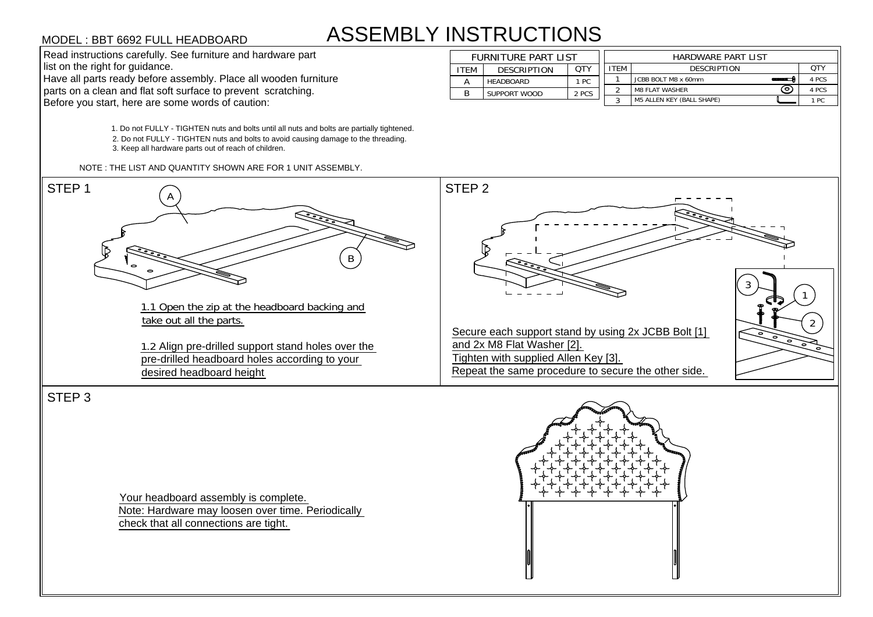## ASSEMBLY INSTRUCTIONS

1. Do not FULLY - TIGHTEN nuts and bolts until all nuts and bolts are partially tightened. 1. Do not FULLY - TIGHTEN nuts and bolts until all nuts and bolts are partially tightene<br>2. Do not FULLY - TIGHTEN nuts and bolts to avoid causing damage to the threading. 2. Do not FULLY - TIGHTEN nuts and bolts to avoid causing damage to the threading.<br>3. Keep all hardware parts out of reach of children. MODEL : BBT 6692 FULL HEADBOARD<br>
Read instructions carefully. See furniture and hardware part<br>
list on the right for guidance.<br>
Have all parts ready before assembly. Place all wooden furniture<br>
parts on a clean and flat so





STEP 3

Your headboard assembly is complete. Note: Hardware may loosen over time. Periodically